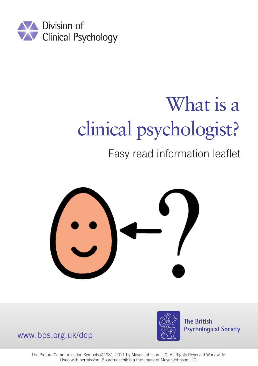

# What is a clinical psychologist?

#### Easy read information leaflet





**The British Psychological Society** 

www.bps.org.uk/dcp

The Picture Communication Symbols ©1981–2011 by Mayer-Johnson LLC. All Rights Reserved Worldwide. Used with permission. Boardmaker® is a trademark of Mayer-Johnson LLC.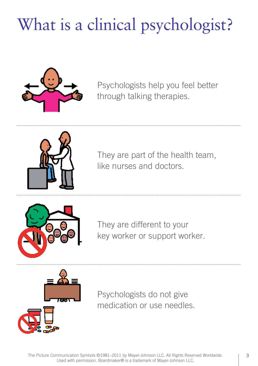## What is a clinical psychologist?



Psychologists help you feel better through talking therapies.



They are part of the health team, like nurses and doctors.



They are different to your key worker or support worker.



Psychologists do not give medication or use needles.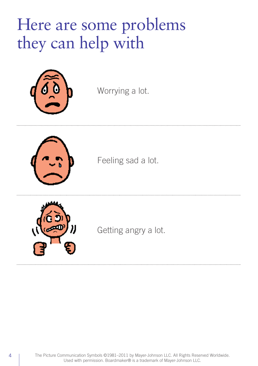#### Here are some problems they can help with



Worrying a lot.



Feeling sad a lot.



Getting angry a lot.

4 | The Picture Communication Symbols ©1981-2011 by Mayer-Johnson LLC. All Rights Reserved Worldwide. Used with permission. Boardmaker® is a trademark of Mayer-Johnson LLC.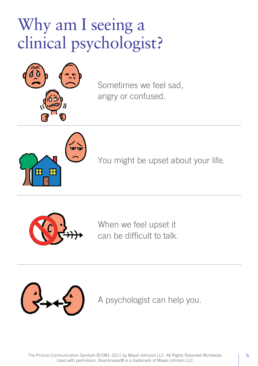### Why am I seeing a clinical psychologist?



Sometimes we feel sad, angry or confused.



You might be upset about your life.



When we feel upset it can be difficult to talk.



A psychologist can help you.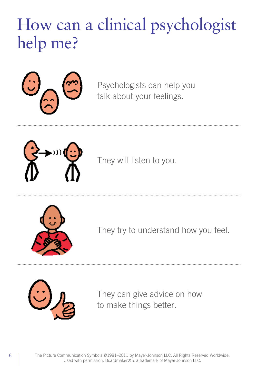### How can a clinical psychologist help me?



Psychologists can help you talk about your feelings.



They will listen to you.



They try to understand how you feel.



They can give advice on how to make things better.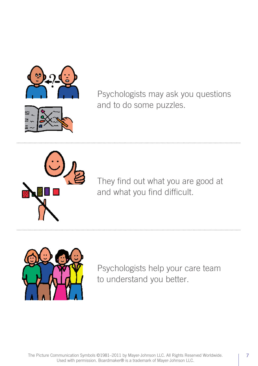

Psychologists may ask you questions and to do some puzzles.



They find out what you are good at and what you find difficult.



Psychologists help your care team to understand you better.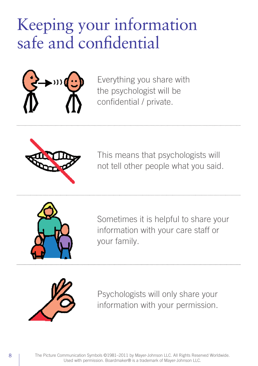### Keeping your information safe and confidential



Everything you share with the psychologist will be confidential / private.



This means that psychologists will not tell other people what you said.



Sometimes it is helpful to share your information with your care staff or your family.



Psychologists will only share your information with your permission.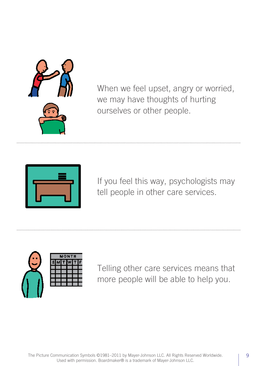

When we feel upset, angry or worried, we may have thoughts of hurting ourselves or other people.



If you feel this way, psychologists may tell people in other care services.



Telling other care services means that more people will be able to help you.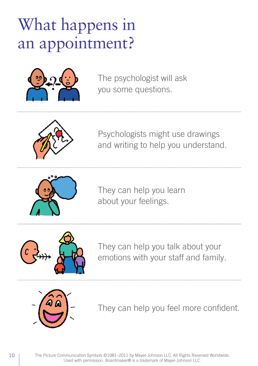### What happens in an appointment?



The psychologist will ask you some questions.



Psychologists might use drawings and writing to help you understand.



They can help you learn about your feelings.



They can help you talk about your emotions with your staff and family.



They can help you feel more confident.